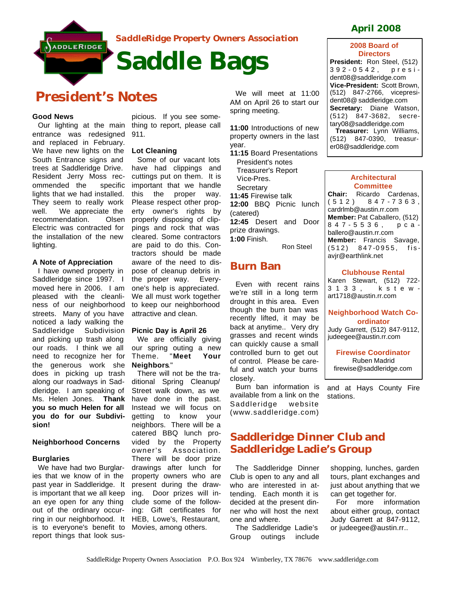

*SaddleRidge Property Owners Association* 

# **President's Notes**

## **Good News**

Our lighting at the main entrance was redesigned and replaced in February. We have new lights on the South Entrance signs and trees at Saddleridge Drive. Resident Jerry Moss recommended the specific lights that we had installed. They seem to really work well. We appreciate the recommendation. Olsen Electric was contracted for the installation of the new lighting.

### **A Note of Appreciation**

I have owned property in Saddleridge since 1997. I moved here in 2006. I am pleased with the cleanliness of our neighborhood streets. Many of you have noticed a lady walking the Saddleridge Subdivision and picking up trash along our roads. I think we all need to recognize her for the generous work she does in picking up trash along our roadways in Saddleridge. I am speaking of Ms. Helen Jones. **Thank you so much Helen for all you do for our Subdivision!**

### **Neighborhood Concerns**

#### **Burglaries**

We have had two Burglaries that we know of in the past year in Saddleridge. It is important that we all keep an eye open for any thing out of the ordinary occurring in our neighborhood. It is to everyone's benefit to report things that look sus-

picious. If you see something to report, please call 911.

### **Lot Cleaning**

Some of our vacant lots have had clippings and cuttings put on them. It is important that we handle this the proper way. Please respect other property owner's rights by properly disposing of clippings and rock that was cleared. Some contractors are paid to do this. Contractors should be made aware of the need to dispose of cleanup debris in the proper way. Everyone's help is appreciated. We all must work together to keep our neighborhood attractive and clean.

### **Picnic Day is April 26**

We are officially giving our spring outing a new Theme. "**Meet Your Neighbors**."

There will not be the traditional Spring Cleanup/ Street walk down, as we have done in the past. Instead we will focus on getting to know your neighbors. There will be a catered BBQ lunch provided by the Property owner's Association. There will be door prize drawings after lunch for property owners who are present during the drawing. Door prizes will include some of the following: Gift certificates for HEB, Lowe's, Restaurant, Movies, among others.

We will meet at 11:00 AM on April 26 to start our spring meeting.

**11:00** Introductions of new property owners in the last year.

- **11:15** Board Presentations President's notes Treasurer's Report Vice-Pres. **Secretary 11:45** Firewise talk
- **12:00** BBQ Picnic lunch (catered) **12:45** Desert and Door prize drawings. **1:00** Finish.
	- Ron Steel

# **Burn Ban**

Even with recent rains we're still in a long term drought in this area. Even though the burn ban was recently lifted, it may be back at anytime.. Very dry grasses and recent winds can quickly cause a small controlled burn to get out of control. Please be careful and watch your burns closely.

Burn ban information is available from a link on the Saddleridge website (www.saddleridge.com)

# **Saddleridge Dinner Club and Saddleridge Ladie's Group**

The Saddleridge Dinner Club is open to any and all who are interested in attending. Each month it is decided at the present dinner who will host the next one and where.

The Saddleridge Ladie's Group outings include

# **April 2008**

### **2008 Board of Directors**

**President:** Ron Steel, (512) 392 - 0542, president08@saddleridge.com **Vice-President:** Scott Brown, (512) 847-2766, vicepresident08@ saddleridge.com **Secretary:** Diane Watson, (512) 847 -3682, secretary08@saddleridge.com **Treasurer:** Lynn Williams, (512) 847-0390, treasurer08@saddleridge.com



**Member:** Francis Savage, (512) 847 -0955, fisavjr@earthlink.net

#### **Clubhouse Rental**

Karen Stewart, (512) 722- 3133, kstewart1718@austin.rr.com

## **Neighborhood Watch Coordinator**

Judy Garrett, (512) 847-9112, judeegee@austin.rr.com

**Firewise Coordinator** Ruben Madrid firewise@saddleridge.com

and at Hays County Fire stations.

shopping, lunches, garden tours, plant exchanges and just about anything that we can get together for.

For more information about either group, contact Judy Garrett at 847-9112, or judeegee@austin.rr..